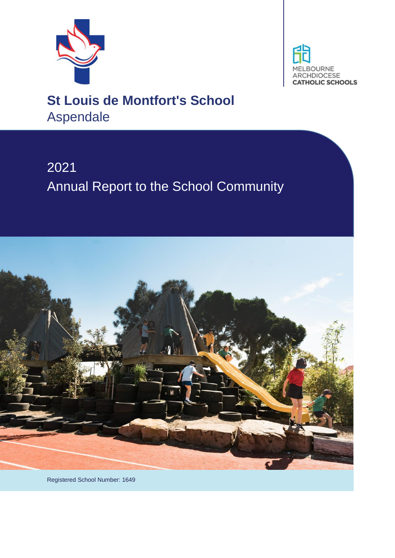



# **St Louis de Montfort's School** Aspendale

# 2021 Annual Report to the School Community



Registered School Number: 1649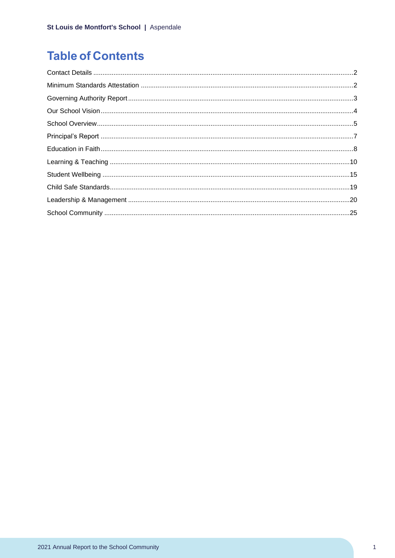## **Table of Contents**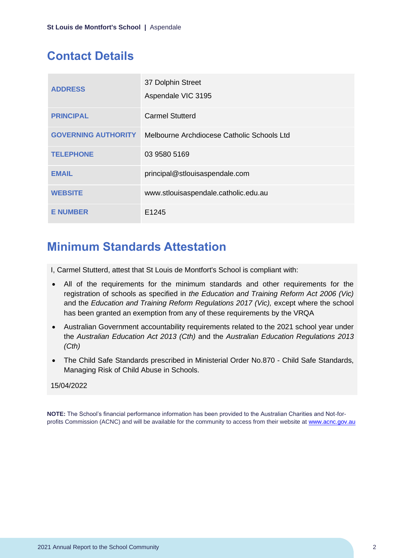## <span id="page-2-0"></span>**Contact Details**

| <b>ADDRESS</b>             | 37 Dolphin Street<br>Aspendale VIC 3195    |
|----------------------------|--------------------------------------------|
| <b>PRINCIPAL</b>           | <b>Carmel Stutterd</b>                     |
| <b>GOVERNING AUTHORITY</b> | Melbourne Archdiocese Catholic Schools Ltd |
| <b>TELEPHONE</b>           | 03 9580 5169                               |
| <b>EMAIL</b>               | principal@stlouisaspendale.com             |
| <b>WEBSITE</b>             | www.stlouisaspendale.catholic.edu.au       |
| <b>E NUMBER</b>            | E <sub>1245</sub>                          |

## <span id="page-2-1"></span>**Minimum Standards Attestation**

I, Carmel Stutterd, attest that St Louis de Montfort's School is compliant with:

- All of the requirements for the minimum standards and other requirements for the registration of schools as specified in *the Education and Training Reform Act 2006 (Vic)* and the *Education and Training Reform Regulations 2017 (Vic),* except where the school has been granted an exemption from any of these requirements by the VRQA
- Australian Government accountability requirements related to the 2021 school year under the *Australian Education Act 2013 (Cth)* and the *Australian Education Regulations 2013 (Cth)*
- The Child Safe Standards prescribed in Ministerial Order No.870 Child Safe Standards, Managing Risk of Child Abuse in Schools.

### 15/04/2022

**NOTE:** The School's financial performance information has been provided to the Australian Charities and Not-forprofits Commission (ACNC) and will be available for the community to access from their website at [www.acnc.gov.au](http://www.acnc.gov.au/)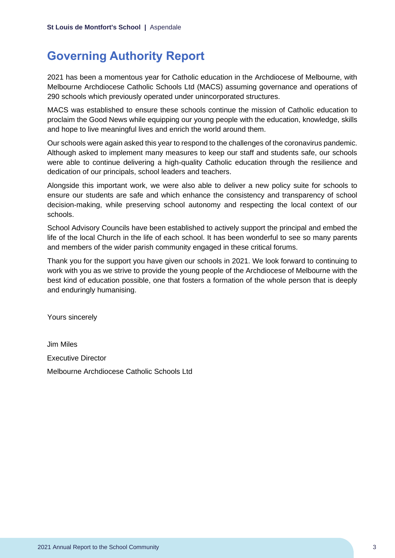## <span id="page-3-0"></span>**Governing Authority Report**

2021 has been a momentous year for Catholic education in the Archdiocese of Melbourne, with Melbourne Archdiocese Catholic Schools Ltd (MACS) assuming governance and operations of 290 schools which previously operated under unincorporated structures.

MACS was established to ensure these schools continue the mission of Catholic education to proclaim the Good News while equipping our young people with the education, knowledge, skills and hope to live meaningful lives and enrich the world around them.

Our schools were again asked this year to respond to the challenges of the coronavirus pandemic. Although asked to implement many measures to keep our staff and students safe, our schools were able to continue delivering a high-quality Catholic education through the resilience and dedication of our principals, school leaders and teachers.

Alongside this important work, we were also able to deliver a new policy suite for schools to ensure our students are safe and which enhance the consistency and transparency of school decision-making, while preserving school autonomy and respecting the local context of our schools.

School Advisory Councils have been established to actively support the principal and embed the life of the local Church in the life of each school. It has been wonderful to see so many parents and members of the wider parish community engaged in these critical forums.

Thank you for the support you have given our schools in 2021. We look forward to continuing to work with you as we strive to provide the young people of the Archdiocese of Melbourne with the best kind of education possible, one that fosters a formation of the whole person that is deeply and enduringly humanising.

Yours sincerely

Jim Miles Executive Director Melbourne Archdiocese Catholic Schools Ltd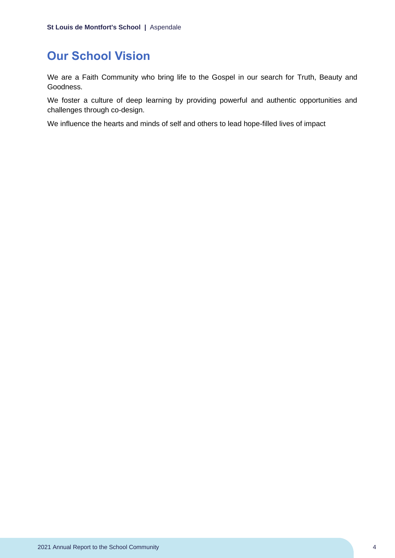## <span id="page-4-0"></span>**Our School Vision**

We are a Faith Community who bring life to the Gospel in our search for Truth, Beauty and Goodness.

We foster a culture of deep learning by providing powerful and authentic opportunities and challenges through co-design.

We influence the hearts and minds of self and others to lead hope-filled lives of impact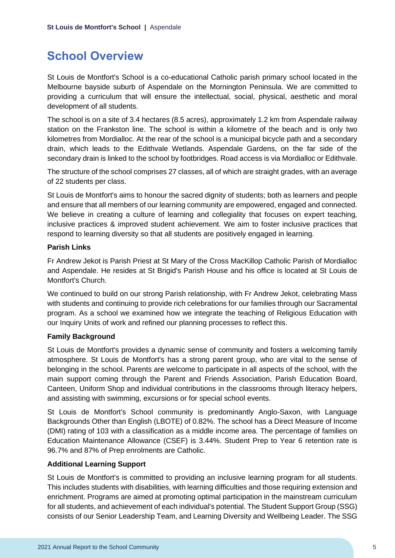## <span id="page-5-0"></span>**School Overview**

St Louis de Montfort's School is a co-educational Catholic parish primary school located in the Melbourne bayside suburb of Aspendale on the Mornington Peninsula. We are committed to providing a curriculum that will ensure the intellectual, social, physical, aesthetic and moral development of all students.

The school is on a site of 3.4 hectares (8.5 acres), approximately 1.2 km from Aspendale railway station on the Frankston line. The school is within a kilometre of the beach and is only two kilometres from Mordialloc. At the rear of the school is a municipal bicycle path and a secondary drain, which leads to the Edithvale Wetlands. Aspendale Gardens, on the far side of the secondary drain is linked to the school by footbridges. Road access is via Mordialloc or Edithvale.

The structure of the school comprises 27 classes, all of which are straight grades, with an average of 22 students per class.

St Louis de Montfort's aims to honour the sacred dignity of students; both as learners and people and ensure that all members of our learning community are empowered, engaged and connected. We believe in creating a culture of learning and collegiality that focuses on expert teaching, inclusive practices & improved student achievement. We aim to foster inclusive practices that respond to learning diversity so that all students are positively engaged in learning.

### **Parish Links**

Fr Andrew Jekot is Parish Priest at St Mary of the Cross MacKillop Catholic Parish of Mordialloc and Aspendale. He resides at St Brigid's Parish House and his office is located at St Louis de Montfort's Church.

We continued to build on our strong Parish relationship, with Fr Andrew Jekot, celebrating Mass with students and continuing to provide rich celebrations for our families through our Sacramental program. As a school we examined how we integrate the teaching of Religious Education with our Inquiry Units of work and refined our planning processes to reflect this.

### **Family Background**

St Louis de Montfort's provides a dynamic sense of community and fosters a welcoming family atmosphere. St Louis de Montfort's has a strong parent group, who are vital to the sense of belonging in the school. Parents are welcome to participate in all aspects of the school, with the main support coming through the Parent and Friends Association, Parish Education Board, Canteen, Uniform Shop and individual contributions in the classrooms through literacy helpers, and assisting with swimming, excursions or for special school events.

St Louis de Montfort's School community is predominantly Anglo-Saxon, with Language Backgrounds Other than English (LBOTE) of 0.82%. The school has a Direct Measure of Income (DMI) rating of 103 with a classification as a middle income area. The percentage of families on Education Maintenance Allowance (CSEF) is 3.44%. Student Prep to Year 6 retention rate is 96.7% and 87% of Prep enrolments are Catholic.

### **Additional Learning Support**

St Louis de Montfort's is committed to providing an inclusive learning program for all students. This includes students with disabilities, with learning difficulties and those requiring extension and enrichment. Programs are aimed at promoting optimal participation in the mainstream curriculum for all students, and achievement of each individual's potential. The Student Support Group (SSG) consists of our Senior Leadership Team, and Learning Diversity and Wellbeing Leader. The SSG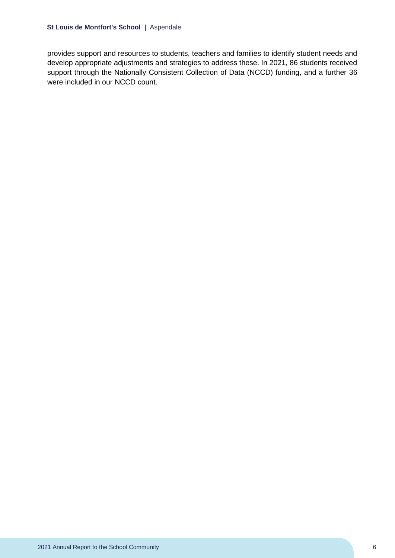provides support and resources to students, teachers and families to identify student needs and develop appropriate adjustments and strategies to address these. In 2021, 86 students received support through the Nationally Consistent Collection of Data (NCCD) funding, and a further 36 were included in our NCCD count.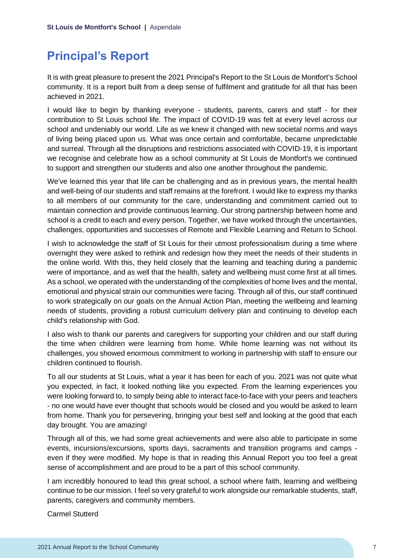## <span id="page-7-0"></span>**Principal's Report**

It is with great pleasure to present the 2021 Principal's Report to the St Louis de Montfort's School community. It is a report built from a deep sense of fulfilment and gratitude for all that has been achieved in 2021.

I would like to begin by thanking everyone - students, parents, carers and staff - for their contribution to St Louis school life. The impact of COVID-19 was felt at every level across our school and undeniably our world. Life as we knew it changed with new societal norms and ways of living being placed upon us. What was once certain and comfortable, became unpredictable and surreal. Through all the disruptions and restrictions associated with COVID-19, it is important we recognise and celebrate how as a school community at St Louis de Montfort's we continued to support and strengthen our students and also one another throughout the pandemic.

We've learned this year that life can be challenging and as in previous years, the mental health and well-being of our students and staff remains at the forefront. I would like to express my thanks to all members of our community for the care, understanding and commitment carried out to maintain connection and provide continuous learning. Our strong partnership between home and school is a credit to each and every person. Together, we have worked through the uncertainties, challenges, opportunities and successes of Remote and Flexible Learning and Return to School.

I wish to acknowledge the staff of St Louis for their utmost professionalism during a time where overnight they were asked to rethink and redesign how they meet the needs of their students in the online world. With this, they held closely that the learning and teaching during a pandemic were of importance, and as well that the health, safety and wellbeing must come first at all times. As a school, we operated with the understanding of the complexities of home lives and the mental, emotional and physical strain our communities were facing. Through all of this, our staff continued to work strategically on our goals on the Annual Action Plan, meeting the wellbeing and learning needs of students, providing a robust curriculum delivery plan and continuing to develop each child's relationship with God.

I also wish to thank our parents and caregivers for supporting your children and our staff during the time when children were learning from home. While home learning was not without its challenges, you showed enormous commitment to working in partnership with staff to ensure our children continued to flourish.

To all our students at St Louis, what a year it has been for each of you. 2021 was not quite what you expected, in fact, it looked nothing like you expected. From the learning experiences you were looking forward to, to simply being able to interact face-to-face with your peers and teachers - no one would have ever thought that schools would be closed and you would be asked to learn from home. Thank you for persevering, bringing your best self and looking at the good that each day brought. You are amazing!

Through all of this, we had some great achievements and were also able to participate in some events, incursions/excursions, sports days, sacraments and transition programs and camps even if they were modified. My hope is that in reading this Annual Report you too feel a great sense of accomplishment and are proud to be a part of this school community.

I am incredibly honoured to lead this great school, a school where faith, learning and wellbeing continue to be our mission. I feel so very grateful to work alongside our remarkable students, staff, parents, caregivers and community members.

Carmel Stutterd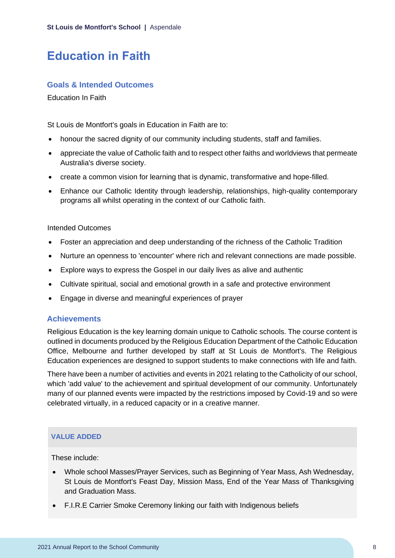## <span id="page-8-0"></span>**Education in Faith**

### **Goals & Intended Outcomes**

Education In Faith

St Louis de Montfort's goals in Education in Faith are to:

- honour the sacred dignity of our community including students, staff and families.
- appreciate the value of Catholic faith and to respect other faiths and worldviews that permeate Australia's diverse society.
- create a common vision for learning that is dynamic, transformative and hope-filled.
- Enhance our Catholic Identity through leadership, relationships, high-quality contemporary programs all whilst operating in the context of our Catholic faith.

#### Intended Outcomes

- Foster an appreciation and deep understanding of the richness of the Catholic Tradition
- Nurture an openness to 'encounter' where rich and relevant connections are made possible.
- Explore ways to express the Gospel in our daily lives as alive and authentic
- Cultivate spiritual, social and emotional growth in a safe and protective environment
- Engage in diverse and meaningful experiences of prayer

### **Achievements**

Religious Education is the key learning domain unique to Catholic schools. The course content is outlined in documents produced by the Religious Education Department of the Catholic Education Office, Melbourne and further developed by staff at St Louis de Montfort's. The Religious Education experiences are designed to support students to make connections with life and faith.

There have been a number of activities and events in 2021 relating to the Catholicity of our school, which 'add value' to the achievement and spiritual development of our community. Unfortunately many of our planned events were impacted by the restrictions imposed by Covid-19 and so were celebrated virtually, in a reduced capacity or in a creative manner.

### **VALUE ADDED**

These include:

- Whole school Masses/Prayer Services, such as Beginning of Year Mass, Ash Wednesday, St Louis de Montfort's Feast Day, Mission Mass, End of the Year Mass of Thanksgiving and Graduation Mass.
- F.I.R.E Carrier Smoke Ceremony linking our faith with Indigenous beliefs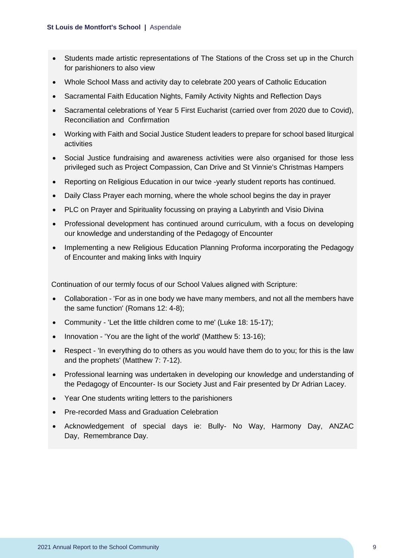- Students made artistic representations of The Stations of the Cross set up in the Church for parishioners to also view
- Whole School Mass and activity day to celebrate 200 years of Catholic Education
- Sacramental Faith Education Nights, Family Activity Nights and Reflection Days
- Sacramental celebrations of Year 5 First Eucharist (carried over from 2020 due to Covid), Reconciliation and Confirmation
- Working with Faith and Social Justice Student leaders to prepare for school based liturgical activities
- Social Justice fundraising and awareness activities were also organised for those less privileged such as Project Compassion, Can Drive and St Vinnie's Christmas Hampers
- Reporting on Religious Education in our twice -yearly student reports has continued.
- Daily Class Prayer each morning, where the whole school begins the day in prayer
- PLC on Prayer and Spirituality focussing on praying a Labyrinth and Visio Divina
- Professional development has continued around curriculum, with a focus on developing our knowledge and understanding of the Pedagogy of Encounter
- Implementing a new Religious Education Planning Proforma incorporating the Pedagogy of Encounter and making links with Inquiry

Continuation of our termly focus of our School Values aligned with Scripture:

- Collaboration 'For as in one body we have many members, and not all the members have the same function' (Romans 12: 4-8);
- Community 'Let the little children come to me' (Luke 18: 15-17);
- Innovation 'You are the light of the world' (Matthew 5: 13-16);
- Respect 'In everything do to others as you would have them do to you; for this is the law and the prophets' (Matthew 7: 7-12).
- Professional learning was undertaken in developing our knowledge and understanding of the Pedagogy of Encounter- Is our Society Just and Fair presented by Dr Adrian Lacey.
- Year One students writing letters to the parishioners
- Pre-recorded Mass and Graduation Celebration
- Acknowledgement of special days ie: Bully- No Way, Harmony Day, ANZAC Day, Remembrance Day.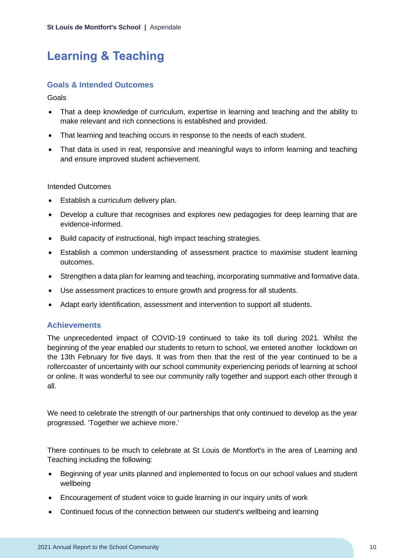## <span id="page-10-0"></span>**Learning & Teaching**

## **Goals & Intended Outcomes**

Goals

- That a deep knowledge of curriculum, expertise in learning and teaching and the ability to make relevant and rich connections is established and provided.
- That learning and teaching occurs in response to the needs of each student.
- That data is used in real, responsive and meaningful ways to inform learning and teaching and ensure improved student achievement.

### Intended Outcomes

- Establish a curriculum delivery plan.
- Develop a culture that recognises and explores new pedagogies for deep learning that are evidence-informed.
- Build capacity of instructional, high impact teaching strategies.
- Establish a common understanding of assessment practice to maximise student learning outcomes.
- Strengthen a data plan for learning and teaching, incorporating summative and formative data.
- Use assessment practices to ensure growth and progress for all students.
- Adapt early identification, assessment and intervention to support all students.

## **Achievements**

The unprecedented impact of COVID-19 continued to take its toll during 2021. Whilst the beginning of the year enabled our students to return to school, we entered another lockdown on the 13th February for five days. It was from then that the rest of the year continued to be a rollercoaster of uncertainty with our school community experiencing periods of learning at school or online. It was wonderful to see our community rally together and support each other through it all.

We need to celebrate the strength of our partnerships that only continued to develop as the year progressed. 'Together we achieve more.'

There continues to be much to celebrate at St Louis de Montfort's in the area of Learning and Teaching including the following:

- Beginning of year units planned and implemented to focus on our school values and student wellbeing
- Encouragement of student voice to guide learning in our inquiry units of work
- Continued focus of the connection between our student's wellbeing and learning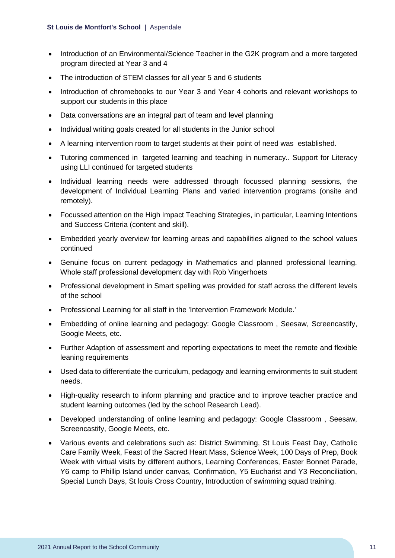- Introduction of an Environmental/Science Teacher in the G2K program and a more targeted program directed at Year 3 and 4
- The introduction of STEM classes for all year 5 and 6 students
- Introduction of chromebooks to our Year 3 and Year 4 cohorts and relevant workshops to support our students in this place
- Data conversations are an integral part of team and level planning
- Individual writing goals created for all students in the Junior school
- A learning intervention room to target students at their point of need was established.
- Tutoring commenced in targeted learning and teaching in numeracy.. Support for Literacy using LLI continued for targeted students
- Individual learning needs were addressed through focussed planning sessions, the development of Individual Learning Plans and varied intervention programs (onsite and remotely).
- Focussed attention on the High Impact Teaching Strategies, in particular, Learning Intentions and Success Criteria (content and skill).
- Embedded yearly overview for learning areas and capabilities aligned to the school values continued
- Genuine focus on current pedagogy in Mathematics and planned professional learning. Whole staff professional development day with Rob Vingerhoets
- Professional development in Smart spelling was provided for staff across the different levels of the school
- Professional Learning for all staff in the 'Intervention Framework Module.'
- Embedding of online learning and pedagogy: Google Classroom , Seesaw, Screencastify, Google Meets, etc.
- Further Adaption of assessment and reporting expectations to meet the remote and flexible leaning requirements
- Used data to differentiate the curriculum, pedagogy and learning environments to suit student needs.
- High-quality research to inform planning and practice and to improve teacher practice and student learning outcomes (led by the school Research Lead).
- Developed understanding of online learning and pedagogy: Google Classroom , Seesaw, Screencastify, Google Meets, etc.
- Various events and celebrations such as: District Swimming, St Louis Feast Day, Catholic Care Family Week, Feast of the Sacred Heart Mass, Science Week, 100 Days of Prep, Book Week with virtual visits by different authors, Learning Conferences, Easter Bonnet Parade, Y6 camp to Phillip Island under canvas, Confirmation, Y5 Eucharist and Y3 Reconciliation, Special Lunch Days, St louis Cross Country, Introduction of swimming squad training.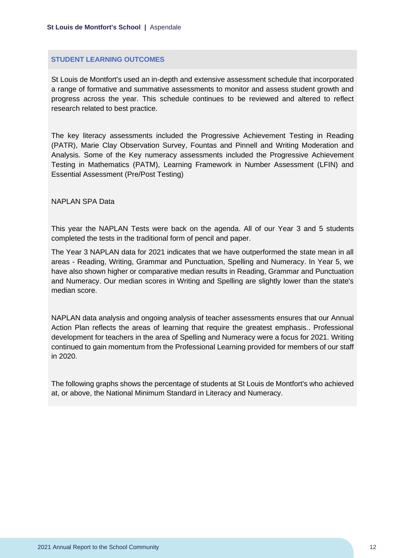#### **STUDENT LEARNING OUTCOMES**

St Louis de Montfort's used an in-depth and extensive assessment schedule that incorporated a range of formative and summative assessments to monitor and assess student growth and progress across the year. This schedule continues to be reviewed and altered to reflect research related to best practice.

The key literacy assessments included the Progressive Achievement Testing in Reading (PATR), Marie Clay Observation Survey, Fountas and Pinnell and Writing Moderation and Analysis. Some of the Key numeracy assessments included the Progressive Achievement Testing in Mathematics (PATM), Learning Framework in Number Assessment (LFIN) and Essential Assessment (Pre/Post Testing)

NAPLAN SPA Data

This year the NAPLAN Tests were back on the agenda. All of our Year 3 and 5 students completed the tests in the traditional form of pencil and paper.

The Year 3 NAPLAN data for 2021 indicates that we have outperformed the state mean in all areas - Reading, Writing, Grammar and Punctuation, Spelling and Numeracy. In Year 5, we have also shown higher or comparative median results in Reading, Grammar and Punctuation and Numeracy. Our median scores in Writing and Spelling are slightly lower than the state's median score.

NAPLAN data analysis and ongoing analysis of teacher assessments ensures that our Annual Action Plan reflects the areas of learning that require the greatest emphasis.. Professional development for teachers in the area of Spelling and Numeracy were a focus for 2021. Writing continued to gain momentum from the Professional Learning provided for members of our staff in 2020.

The following graphs shows the percentage of students at St Louis de Montfort's who achieved at, or above, the National Minimum Standard in Literacy and Numeracy.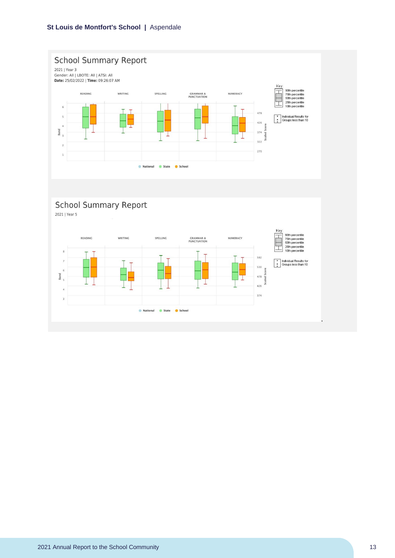



2021 | Year 5

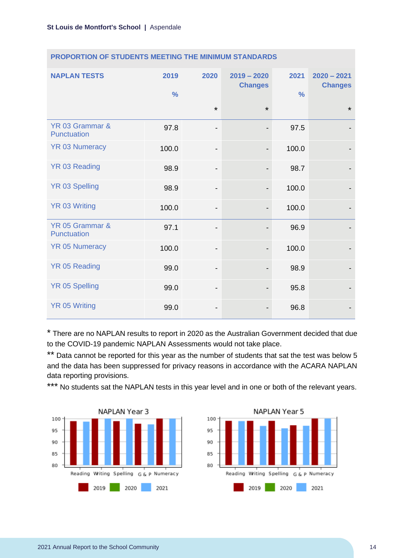| <b>NAPLAN TESTS</b>                   | 2019<br>$\frac{9}{6}$ | 2020                         | $2019 - 2020$<br><b>Changes</b> | 2021<br>$\frac{0}{0}$ | $2020 - 2021$<br><b>Changes</b> |
|---------------------------------------|-----------------------|------------------------------|---------------------------------|-----------------------|---------------------------------|
|                                       |                       | $\star$                      | $\star$                         |                       | $\star$                         |
| YR 03 Grammar &<br><b>Punctuation</b> | 97.8                  | $\qquad \qquad \blacksquare$ |                                 | 97.5                  |                                 |
| <b>YR 03 Numeracy</b>                 | 100.0                 | $\qquad \qquad \blacksquare$ |                                 | 100.0                 |                                 |
| YR 03 Reading                         | 98.9                  | $\qquad \qquad \blacksquare$ |                                 | 98.7                  |                                 |
| <b>YR 03 Spelling</b>                 | 98.9                  | -                            | $\overline{\phantom{a}}$        | 100.0                 |                                 |
| <b>YR 03 Writing</b>                  | 100.0                 | $\qquad \qquad \blacksquare$ |                                 | 100.0                 |                                 |
| YR 05 Grammar &<br><b>Punctuation</b> | 97.1                  |                              |                                 | 96.9                  |                                 |
| <b>YR 05 Numeracy</b>                 | 100.0                 | $\qquad \qquad \blacksquare$ |                                 | 100.0                 |                                 |
| YR 05 Reading                         | 99.0                  | -                            |                                 | 98.9                  |                                 |
| <b>YR 05 Spelling</b>                 | 99.0                  | $\overline{\phantom{a}}$     |                                 | 95.8                  |                                 |
| <b>YR 05 Writing</b>                  | 99.0                  | -                            |                                 | 96.8                  |                                 |

### **PROPORTION OF STUDENTS MEETING THE MINIMUM STANDARDS**

\* There are no NAPLAN results to report in 2020 as the Australian Government decided that due to the COVID-19 pandemic NAPLAN Assessments would not take place.

\*\* Data cannot be reported for this year as the number of students that sat the test was below 5 and the data has been suppressed for privacy reasons in accordance with the ACARA NAPLAN data reporting provisions.

\*\*\* No students sat the NAPLAN tests in this year level and in one or both of the relevant years.



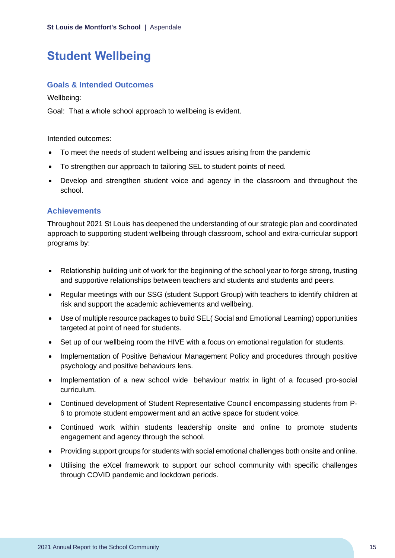## <span id="page-15-0"></span>**Student Wellbeing**

## **Goals & Intended Outcomes**

Wellbeing:

Goal: That a whole school approach to wellbeing is evident.

Intended outcomes:

- To meet the needs of student wellbeing and issues arising from the pandemic
- To strengthen our approach to tailoring SEL to student points of need.
- Develop and strengthen student voice and agency in the classroom and throughout the school.

## **Achievements**

Throughout 2021 St Louis has deepened the understanding of our strategic plan and coordinated approach to supporting student wellbeing through classroom, school and extra-curricular support programs by:

- Relationship building unit of work for the beginning of the school year to forge strong, trusting and supportive relationships between teachers and students and students and peers.
- Regular meetings with our SSG (student Support Group) with teachers to identify children at risk and support the academic achievements and wellbeing.
- Use of multiple resource packages to build SEL( Social and Emotional Learning) opportunities targeted at point of need for students.
- Set up of our wellbeing room the HIVE with a focus on emotional regulation for students.
- Implementation of Positive Behaviour Management Policy and procedures through positive psychology and positive behaviours lens.
- Implementation of a new school wide behaviour matrix in light of a focused pro-social curriculum.
- Continued development of Student Representative Council encompassing students from P-6 to promote student empowerment and an active space for student voice.
- Continued work within students leadership onsite and online to promote students engagement and agency through the school.
- Providing support groups for students with social emotional challenges both onsite and online.
- Utilising the eXcel framework to support our school community with specific challenges through COVID pandemic and lockdown periods.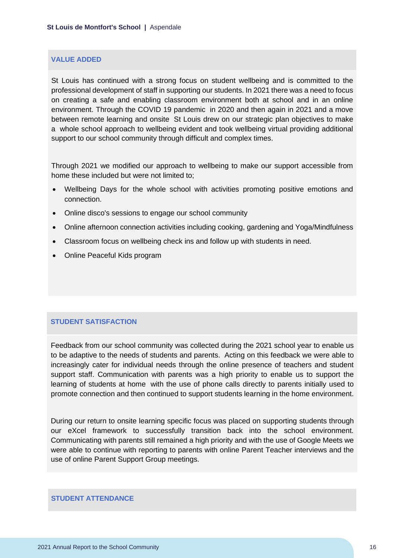#### **VALUE ADDED**

St Louis has continued with a strong focus on student wellbeing and is committed to the professional development of staff in supporting our students. In 2021 there was a need to focus on creating a safe and enabling classroom environment both at school and in an online environment. Through the COVID 19 pandemic in 2020 and then again in 2021 and a move between remote learning and onsite St Louis drew on our strategic plan objectives to make a whole school approach to wellbeing evident and took wellbeing virtual providing additional support to our school community through difficult and complex times.

Through 2021 we modified our approach to wellbeing to make our support accessible from home these included but were not limited to;

- Wellbeing Days for the whole school with activities promoting positive emotions and connection.
- Online disco's sessions to engage our school community
- Online afternoon connection activities including cooking, gardening and Yoga/Mindfulness
- Classroom focus on wellbeing check ins and follow up with students in need.
- Online Peaceful Kids program

### **STUDENT SATISFACTION**

Feedback from our school community was collected during the 2021 school year to enable us to be adaptive to the needs of students and parents. Acting on this feedback we were able to increasingly cater for individual needs through the online presence of teachers and student support staff. Communication with parents was a high priority to enable us to support the learning of students at home with the use of phone calls directly to parents initially used to promote connection and then continued to support students learning in the home environment.

During our return to onsite learning specific focus was placed on supporting students through our eXcel framework to successfully transition back into the school environment. Communicating with parents still remained a high priority and with the use of Google Meets we were able to continue with reporting to parents with online Parent Teacher interviews and the use of online Parent Support Group meetings.

#### **STUDENT ATTENDANCE**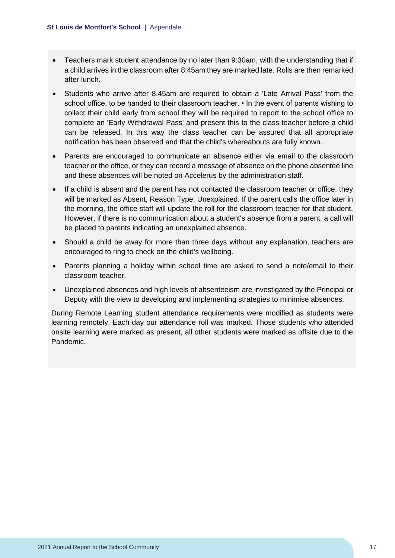- Teachers mark student attendance by no later than 9:30am, with the understanding that if a child arrives in the classroom after 8:45am they are marked late. Rolls are then remarked after lunch.
- Students who arrive after 8.45am are required to obtain a 'Late Arrival Pass' from the school office, to be handed to their classroom teacher. • In the event of parents wishing to collect their child early from school they will be required to report to the school office to complete an 'Early Withdrawal Pass' and present this to the class teacher before a child can be released. In this way the class teacher can be assured that all appropriate notification has been observed and that the child's whereabouts are fully known.
- Parents are encouraged to communicate an absence either via email to the classroom teacher or the office, or they can record a message of absence on the phone absentee line and these absences will be noted on Accelerus by the administration staff.
- If a child is absent and the parent has not contacted the classroom teacher or office, they will be marked as Absent, Reason Type: Unexplained. If the parent calls the office later in the morning, the office staff will update the roll for the classroom teacher for that student. However, if there is no communication about a student's absence from a parent, a call will be placed to parents indicating an unexplained absence.
- Should a child be away for more than three days without any explanation, teachers are encouraged to ring to check on the child's wellbeing.
- Parents planning a holiday within school time are asked to send a note/email to their classroom teacher.
- Unexplained absences and high levels of absenteeism are investigated by the Principal or Deputy with the view to developing and implementing strategies to minimise absences.

During Remote Learning student attendance requirements were modified as students were learning remotely. Each day our attendance roll was marked. Those students who attended onsite learning were marked as present, all other students were marked as offsite due to the Pandemic.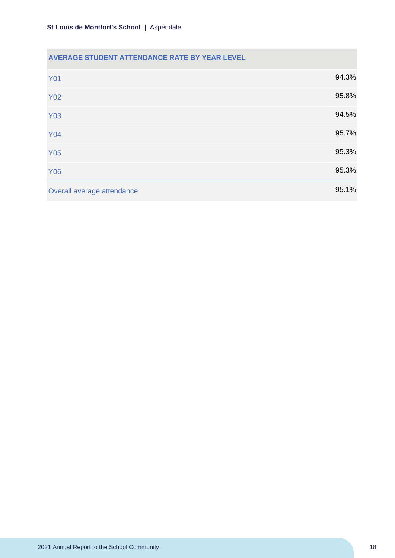## **AVERAGE STUDENT ATTENDANCE RATE BY YEAR LEVEL**

| <b>Y01</b>                 | 94.3% |
|----------------------------|-------|
| <b>Y02</b>                 | 95.8% |
| <b>Y03</b>                 | 94.5% |
| <b>Y04</b>                 | 95.7% |
| <b>Y05</b>                 | 95.3% |
| <b>Y06</b>                 | 95.3% |
| Overall average attendance | 95.1% |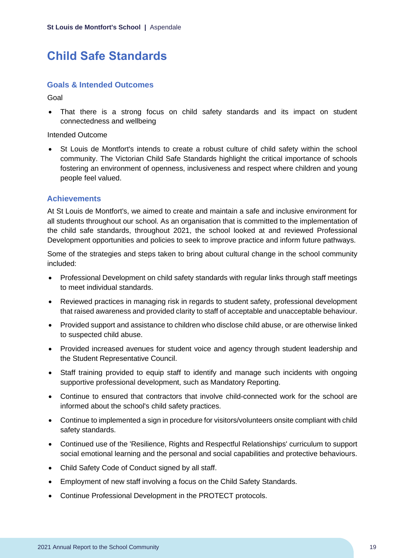## <span id="page-19-0"></span>**Child Safe Standards**

## **Goals & Intended Outcomes**

Goal

• That there is a strong focus on child safety standards and its impact on student connectedness and wellbeing

Intended Outcome

• St Louis de Montfort's intends to create a robust culture of child safety within the school community. The Victorian Child Safe Standards highlight the critical importance of schools fostering an environment of openness, inclusiveness and respect where children and young people feel valued.

## **Achievements**

At St Louis de Montfort's, we aimed to create and maintain a safe and inclusive environment for all students throughout our school. As an organisation that is committed to the implementation of the child safe standards, throughout 2021, the school looked at and reviewed Professional Development opportunities and policies to seek to improve practice and inform future pathways.

Some of the strategies and steps taken to bring about cultural change in the school community included:

- Professional Development on child safety standards with regular links through staff meetings to meet individual standards.
- Reviewed practices in managing risk in regards to student safety, professional development that raised awareness and provided clarity to staff of acceptable and unacceptable behaviour.
- Provided support and assistance to children who disclose child abuse, or are otherwise linked to suspected child abuse.
- Provided increased avenues for student voice and agency through student leadership and the Student Representative Council.
- Staff training provided to equip staff to identify and manage such incidents with ongoing supportive professional development, such as Mandatory Reporting.
- Continue to ensured that contractors that involve child-connected work for the school are informed about the school's child safety practices.
- Continue to implemented a sign in procedure for visitors/volunteers onsite compliant with child safety standards.
- Continued use of the 'Resilience, Rights and Respectful Relationships' curriculum to support social emotional learning and the personal and social capabilities and protective behaviours.
- Child Safety Code of Conduct signed by all staff.
- Employment of new staff involving a focus on the Child Safety Standards.
- Continue Professional Development in the PROTECT protocols.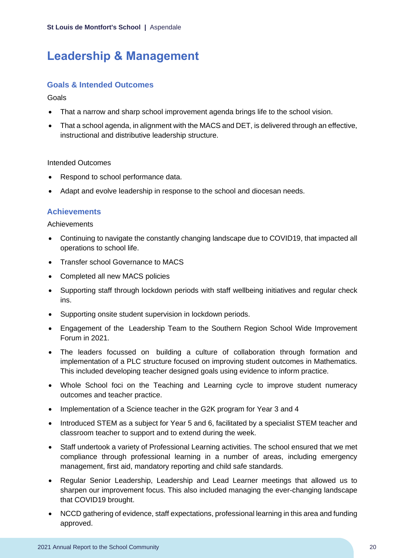## <span id="page-20-0"></span>**Leadership & Management**

## **Goals & Intended Outcomes**

**Goals** 

- That a narrow and sharp school improvement agenda brings life to the school vision.
- That a school agenda, in alignment with the MACS and DET, is delivered through an effective, instructional and distributive leadership structure.

### Intended Outcomes

- Respond to school performance data.
- Adapt and evolve leadership in response to the school and diocesan needs.

## **Achievements**

Achievements

- Continuing to navigate the constantly changing landscape due to COVID19, that impacted all operations to school life.
- Transfer school Governance to MACS
- Completed all new MACS policies
- Supporting staff through lockdown periods with staff wellbeing initiatives and regular check ins.
- Supporting onsite student supervision in lockdown periods.
- Engagement of the Leadership Team to the Southern Region School Wide Improvement Forum in 2021.
- The leaders focussed on building a culture of collaboration through formation and implementation of a PLC structure focused on improving student outcomes in Mathematics. This included developing teacher designed goals using evidence to inform practice.
- Whole School foci on the Teaching and Learning cycle to improve student numeracy outcomes and teacher practice.
- Implementation of a Science teacher in the G2K program for Year 3 and 4
- Introduced STEM as a subject for Year 5 and 6, facilitated by a specialist STEM teacher and classroom teacher to support and to extend during the week.
- Staff undertook a variety of Professional Learning activities. The school ensured that we met compliance through professional learning in a number of areas, including emergency management, first aid, mandatory reporting and child safe standards.
- Regular Senior Leadership, Leadership and Lead Learner meetings that allowed us to sharpen our improvement focus. This also included managing the ever-changing landscape that COVID19 brought.
- NCCD gathering of evidence, staff expectations, professional learning in this area and funding approved.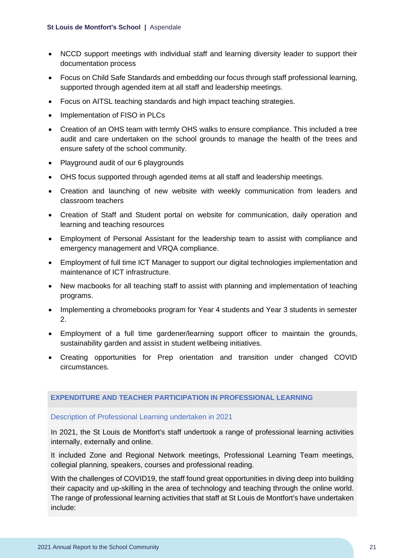- NCCD support meetings with individual staff and learning diversity leader to support their documentation process
- Focus on Child Safe Standards and embedding our focus through staff professional learning, supported through agended item at all staff and leadership meetings.
- Focus on AITSL teaching standards and high impact teaching strategies.
- Implementation of FISO in PLCs
- Creation of an OHS team with termly OHS walks to ensure compliance. This included a tree audit and care undertaken on the school grounds to manage the health of the trees and ensure safety of the school community.
- Playground audit of our 6 playgrounds
- OHS focus supported through agended items at all staff and leadership meetings.
- Creation and launching of new website with weekly communication from leaders and classroom teachers
- Creation of Staff and Student portal on website for communication, daily operation and learning and teaching resources
- Employment of Personal Assistant for the leadership team to assist with compliance and emergency management and VRQA compliance.
- Employment of full time ICT Manager to support our digital technologies implementation and maintenance of ICT infrastructure.
- New macbooks for all teaching staff to assist with planning and implementation of teaching programs.
- Implementing a chromebooks program for Year 4 students and Year 3 students in semester 2.
- Employment of a full time gardener/learning support officer to maintain the grounds, sustainability garden and assist in student wellbeing initiatives.
- Creating opportunities for Prep orientation and transition under changed COVID circumstances.

#### **EXPENDITURE AND TEACHER PARTICIPATION IN PROFESSIONAL LEARNING**

#### Description of Professional Learning undertaken in 2021

In 2021, the St Louis de Montfort's staff undertook a range of professional learning activities internally, externally and online.

It included Zone and Regional Network meetings, Professional Learning Team meetings, collegial planning, speakers, courses and professional reading.

With the challenges of COVID19, the staff found great opportunities in diving deep into building their capacity and up-skilling in the area of technology and teaching through the online world. The range of professional learning activities that staff at St Louis de Montfort's have undertaken include: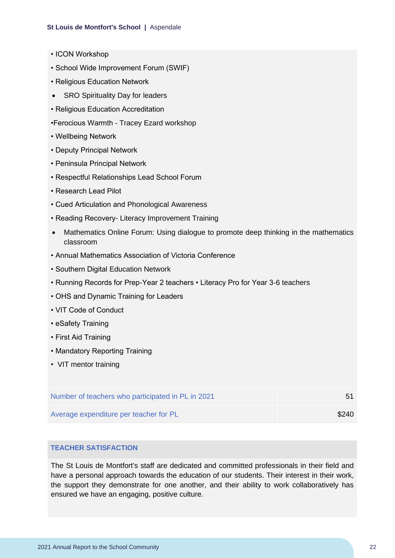- ICON Workshop
- School Wide Improvement Forum (SWIF)
- Religious Education Network
- SRO Spirituality Day for leaders
- Religious Education Accreditation
- •Ferocious Warmth Tracey Ezard workshop
- Wellbeing Network
- Deputy Principal Network
- Peninsula Principal Network
- Respectful Relationships Lead School Forum
- Research Lead Pilot
- Cued Articulation and Phonological Awareness
- Reading Recovery- Literacy Improvement Training
- Mathematics Online Forum: Using dialogue to promote deep thinking in the mathematics classroom
- Annual Mathematics Association of Victoria Conference
- Southern Digital Education Network
- Running Records for Prep-Year 2 teachers Literacy Pro for Year 3-6 teachers
- OHS and Dynamic Training for Leaders
- VIT Code of Conduct
- eSafety Training
- First Aid Training
- Mandatory Reporting Training
- VIT mentor training

| Number of teachers who participated in PL in 2021 | -51   |
|---------------------------------------------------|-------|
| Average expenditure per teacher for PL            | \$240 |

#### **TEACHER SATISFACTION**

The St Louis de Montfort's staff are dedicated and committed professionals in their field and have a personal approach towards the education of our students. Their interest in their work, the support they demonstrate for one another, and their ability to work collaboratively has ensured we have an engaging, positive culture.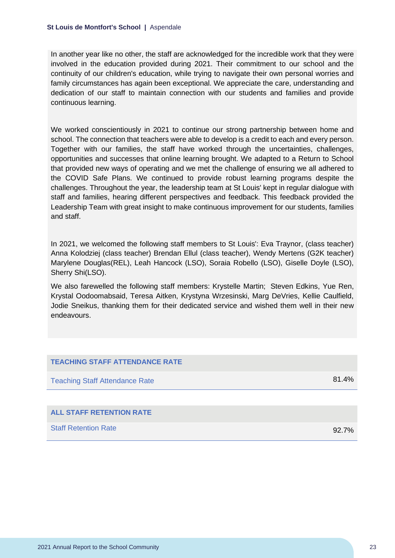In another year like no other, the staff are acknowledged for the incredible work that they were involved in the education provided during 2021. Their commitment to our school and the continuity of our children's education, while trying to navigate their own personal worries and family circumstances has again been exceptional. We appreciate the care, understanding and dedication of our staff to maintain connection with our students and families and provide continuous learning.

We worked conscientiously in 2021 to continue our strong partnership between home and school. The connection that teachers were able to develop is a credit to each and every person. Together with our families, the staff have worked through the uncertainties, challenges, opportunities and successes that online learning brought. We adapted to a Return to School that provided new ways of operating and we met the challenge of ensuring we all adhered to the COVID Safe Plans. We continued to provide robust learning programs despite the challenges. Throughout the year, the leadership team at St Louis' kept in regular dialogue with staff and families, hearing different perspectives and feedback. This feedback provided the Leadership Team with great insight to make continuous improvement for our students, families and staff.

In 2021, we welcomed the following staff members to St Louis': Eva Traynor, (class teacher) Anna Kolodziej (class teacher) Brendan Ellul (class teacher), Wendy Mertens (G2K teacher) Marylene Douglas(REL), Leah Hancock (LSO), Soraia Robello (LSO), Giselle Doyle (LSO), Sherry Shi(LSO).

We also farewelled the following staff members: Krystelle Martin; Steven Edkins, Yue Ren, Krystal Oodoomabsaid, Teresa Aitken, Krystyna Wrzesinski, Marg DeVries, Kellie Caulfield, Jodie Sneikus, thanking them for their dedicated service and wished them well in their new endeavours.

| <b>TEACHING STAFF ATTENDANCE RATE</b> |          |
|---------------------------------------|----------|
| <b>Teaching Staff Attendance Rate</b> | 81.4%    |
|                                       |          |
| <b>ALL STAFF RETENTION RATE</b>       |          |
| <b>Staff Retention Rate</b>           | $92.7\%$ |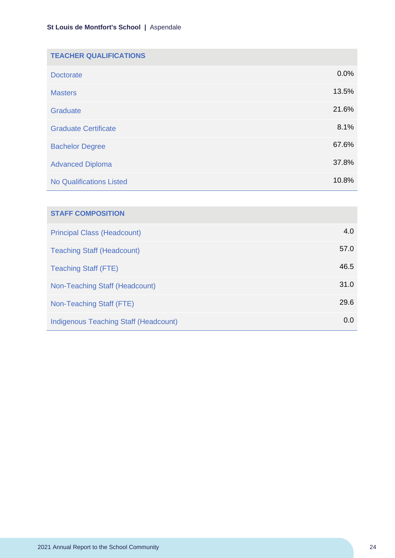| <b>TEACHER QUALIFICATIONS</b>   |       |
|---------------------------------|-------|
| <b>Doctorate</b>                | 0.0%  |
| <b>Masters</b>                  | 13.5% |
| Graduate                        | 21.6% |
| <b>Graduate Certificate</b>     | 8.1%  |
| <b>Bachelor Degree</b>          | 67.6% |
| <b>Advanced Diploma</b>         | 37.8% |
| <b>No Qualifications Listed</b> | 10.8% |

| <b>STAFF COMPOSITION</b>                     |      |
|----------------------------------------------|------|
| <b>Principal Class (Headcount)</b>           | 4.0  |
| <b>Teaching Staff (Headcount)</b>            | 57.0 |
| <b>Teaching Staff (FTE)</b>                  | 46.5 |
| Non-Teaching Staff (Headcount)               | 31.0 |
| Non-Teaching Staff (FTE)                     | 29.6 |
| <b>Indigenous Teaching Staff (Headcount)</b> | 0.0  |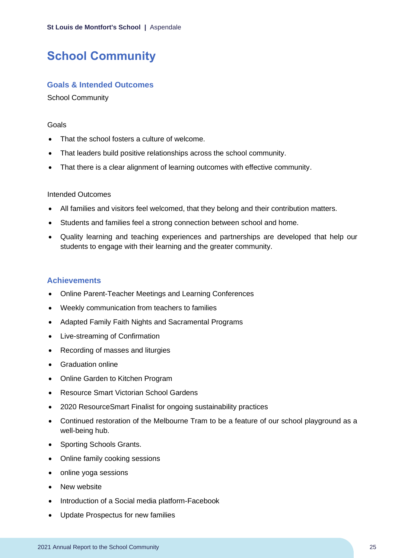## <span id="page-25-0"></span>**School Community**

## **Goals & Intended Outcomes**

School Community

#### Goals

- That the school fosters a culture of welcome.
- That leaders build positive relationships across the school community.
- That there is a clear alignment of learning outcomes with effective community.

### Intended Outcomes

- All families and visitors feel welcomed, that they belong and their contribution matters.
- Students and families feel a strong connection between school and home.
- Quality learning and teaching experiences and partnerships are developed that help our students to engage with their learning and the greater community.

## **Achievements**

- Online Parent-Teacher Meetings and Learning Conferences
- Weekly communication from teachers to families
- Adapted Family Faith Nights and Sacramental Programs
- Live-streaming of Confirmation
- Recording of masses and liturgies
- Graduation online
- Online Garden to Kitchen Program
- Resource Smart Victorian School Gardens
- 2020 ResourceSmart Finalist for ongoing sustainability practices
- Continued restoration of the Melbourne Tram to be a feature of our school playground as a well-being hub.
- Sporting Schools Grants.
- Online family cooking sessions
- online yoga sessions
- New website
- Introduction of a Social media platform-Facebook
- Update Prospectus for new families